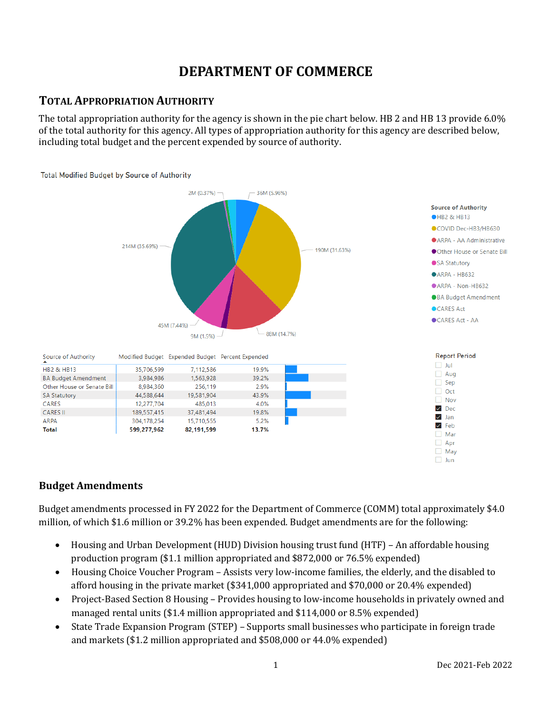# **DEPARTMENT OF COMMERCE**

## **TOTAL APPROPRIATION AUTHORITY**

The total appropriation authority for the agency is shown in the pie chart below. HB 2 and HB 13 provide 6.0% of the total authority for this agency. All types of appropriation authority for this agency are described below, including total budget and the percent expended by source of authority.



#### **Budget Amendments**

Budget amendments processed in FY 2022 for the Department of Commerce (COMM) total approximately \$4.0 million, of which \$1.6 million or 39.2% has been expended. Budget amendments are for the following:

- Housing and Urban Development (HUD) Division housing trust fund (HTF) An affordable housing production program (\$1.1 million appropriated and \$872,000 or 76.5% expended)
- Housing Choice Voucher Program Assists very low-income families, the elderly, and the disabled to afford housing in the private market (\$341,000 appropriated and \$70,000 or 20.4% expended)
- Project-Based Section 8 Housing Provides housing to low-income households in privately owned and managed rental units (\$1.4 million appropriated and \$114,000 or 8.5% expended)
- State Trade Expansion Program (STEP) Supports small businesses who participate in foreign trade and markets (\$1.2 million appropriated and \$508,000 or 44.0% expended)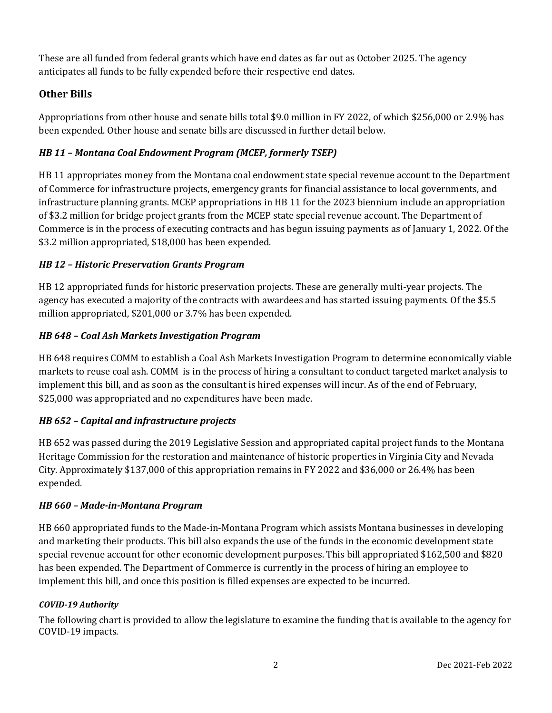These are all funded from federal grants which have end dates as far out as October 2025. The agency anticipates all funds to be fully expended before their respective end dates.

### **Other Bills**

Appropriations from other house and senate bills total \$9.0 million in FY 2022, of which \$256,000 or 2.9% has been expended. Other house and senate bills are discussed in further detail below.

### *HB 11 – Montana Coal Endowment Program (MCEP, formerly TSEP)*

HB 11 appropriates money from the Montana coal endowment state special revenue account to the Department of Commerce for infrastructure projects, emergency grants for financial assistance to local governments, and infrastructure planning grants. MCEP appropriations in HB 11 for the 2023 biennium include an appropriation of \$3.2 million for bridge project grants from the MCEP state special revenue account. The Department of Commerce is in the process of executing contracts and has begun issuing payments as of January 1, 2022. Of the \$3.2 million appropriated, \$18,000 has been expended.

#### *HB 12 – Historic Preservation Grants Program*

HB 12 appropriated funds for historic preservation projects. These are generally multi-year projects. The agency has executed a majority of the contracts with awardees and has started issuing payments. Of the \$5.5 million appropriated, \$201,000 or 3.7% has been expended.

#### *HB 648 – Coal Ash Markets Investigation Program*

HB 648 requires COMM to establish a Coal Ash Markets Investigation Program to determine economically viable markets to reuse coal ash. COMM is in the process of hiring a consultant to conduct targeted market analysis to implement this bill, and as soon as the consultant is hired expenses will incur. As of the end of February, \$25,000 was appropriated and no expenditures have been made.

#### *HB 652 – Capital and infrastructure projects*

HB 652 was passed during the 2019 Legislative Session and appropriated capital project funds to the Montana Heritage Commission for the restoration and maintenance of historic properties in Virginia City and Nevada City. Approximately \$137,000 of this appropriation remains in FY 2022 and \$36,000 or 26.4% has been expended.

#### *HB 660 – Made-in-Montana Program*

HB 660 appropriated funds to the Made-in-Montana Program which assists Montana businesses in developing and marketing their products. This bill also expands the use of the funds in the economic development state special revenue account for other economic development purposes. This bill appropriated \$162,500 and \$820 has been expended. The Department of Commerce is currently in the process of hiring an employee to implement this bill, and once this position is filled expenses are expected to be incurred.

#### *COVID-19 Authority*

The following chart is provided to allow the legislature to examine the funding that is available to the agency for COVID-19 impacts.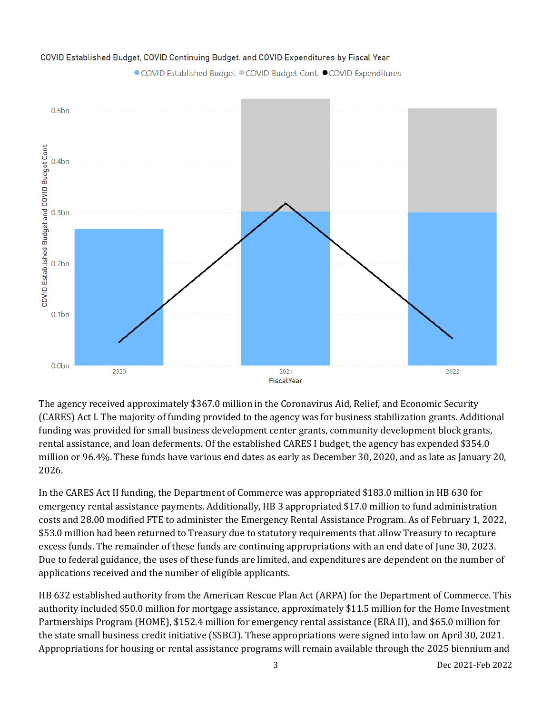

#### COVID Established Budget, COVID Continuing Budget, and COVID Expenditures by Fiscal Year

● COVID Established Budget ● COVID Budget Cont. ● COVID Expenditures

The agency received approximately \$367.0 million in the Coronavirus Aid, Relief, and Economic Security (CARES) Act I. The majority of funding provided to the agency was for business stabilization grants. Additional funding was provided for small business development center grants, community development block grants, rental assistance, and loan deferments. Of the established CARES I budget, the agency has expended \$354.0 million or 96.4%. These funds have various end dates as early as December 30, 2020, and as late as January 20, 2026.

In the CARES Act II funding, the Department of Commerce was appropriated \$183.0 million in HB 630 for emergency rental assistance payments. Additionally, HB 3 appropriated \$17.0 million to fund administration costs and 28.00 modified FTE to administer the Emergency Rental Assistance Program. As of February 1, 2022, \$53.0 million had been returned to Treasury due to statutory requirements that allow Treasury to recapture excess funds. The remainder of these funds are continuing appropriations with an end date of June 30, 2023. Due to federal guidance, the uses of these funds are limited, and expenditures are dependent on the number of applications received and the number of eligible applicants.

HB 632 established authority from the American Rescue Plan Act (ARPA) for the Department of Commerce. This authority included \$50.0 million for mortgage assistance, approximately \$11.5 million for the Home Investment Partnerships Program (HOME), \$152.4 million for emergency rental assistance (ERA II), and \$65.0 million for the state small business credit initiative (SSBCI). These appropriations were signed into law on April 30, 2021. Appropriations for housing or rental assistance programs will remain available through the 2025 biennium and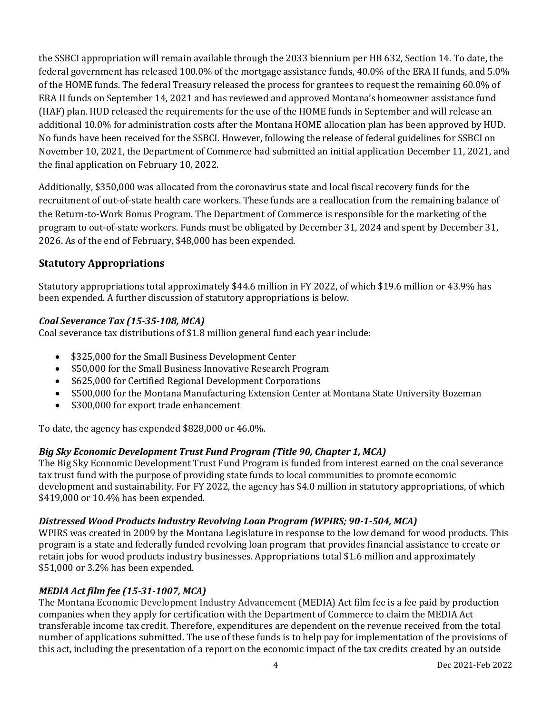the SSBCI appropriation will remain available through the 2033 biennium per HB 632, Section 14. To date, the federal government has released 100.0% of the mortgage assistance funds, 40.0% of the ERA II funds, and 5.0% of the HOME funds. The federal Treasury released the process for grantees to request the remaining 60.0% of ERA II funds on September 14, 2021 and has reviewed and approved Montana's homeowner assistance fund (HAF) plan. HUD released the requirements for the use of the HOME funds in September and will release an additional 10.0% for administration costs after the Montana HOME allocation plan has been approved by HUD. No funds have been received for the SSBCI. However, following the release of federal guidelines for SSBCI on November 10, 2021, the Department of Commerce had submitted an initial application December 11, 2021, and the final application on February 10, 2022.

Additionally, \$350,000 was allocated from the coronavirus state and local fiscal recovery funds for the recruitment of out-of-state health care workers. These funds are a reallocation from the remaining balance of the Return-to-Work Bonus Program. The Department of Commerce is responsible for the marketing of the program to out-of-state workers. Funds must be obligated by December 31, 2024 and spent by December 31, 2026. As of the end of February, \$48,000 has been expended.

### **Statutory Appropriations**

Statutory appropriations total approximately \$44.6 million in FY 2022, of which \$19.6 million or 43.9% has been expended. A further discussion of statutory appropriations is below.

#### *Coal Severance Tax (15-35-108, MCA)*

Coal severance tax distributions of \$1.8 million general fund each year include:

- \$325,000 for the Small Business Development Center
- \$50,000 for the Small Business Innovative Research Program
- \$625,000 for Certified Regional Development Corporations
- \$500,000 for the Montana Manufacturing Extension Center at Montana State University Bozeman<br>• \$300.000 for export trade enhancement
- \$300,000 for export trade enhancement

To date, the agency has expended \$828,000 or 46.0%.

#### *Big Sky Economic Development Trust Fund Program (Title 90, Chapter 1, MCA)*

The Big Sky Economic Development Trust Fund Program is funded from interest earned on the coal severance tax trust fund with the purpose of providing state funds to local communities to promote economic development and sustainability. For FY 2022, the agency has \$4.0 million in statutory appropriations, of which \$419,000 or 10.4% has been expended.

#### *Distressed Wood Products Industry Revolving Loan Program (WPIRS; 90-1-504, MCA)*

WPIRS was created in 2009 by the Montana Legislature in response to the low demand for wood products. This program is a state and federally funded revolving loan program that provides financial assistance to create or retain jobs for wood products industry businesses. Appropriations total \$1.6 million and approximately \$51,000 or 3.2% has been expended.

#### *MEDIA Act film fee (15-31-1007, MCA)*

The Montana Economic Development Industry Advancement (MEDIA) Act film fee is a fee paid by production companies when they apply for certification with the Department of Commerce to claim the MEDIA Act transferable income tax credit. Therefore, expenditures are dependent on the revenue received from the total number of applications submitted. The use of these funds is to help pay for implementation of the provisions of this act, including the presentation of a report on the economic impact of the tax credits created by an outside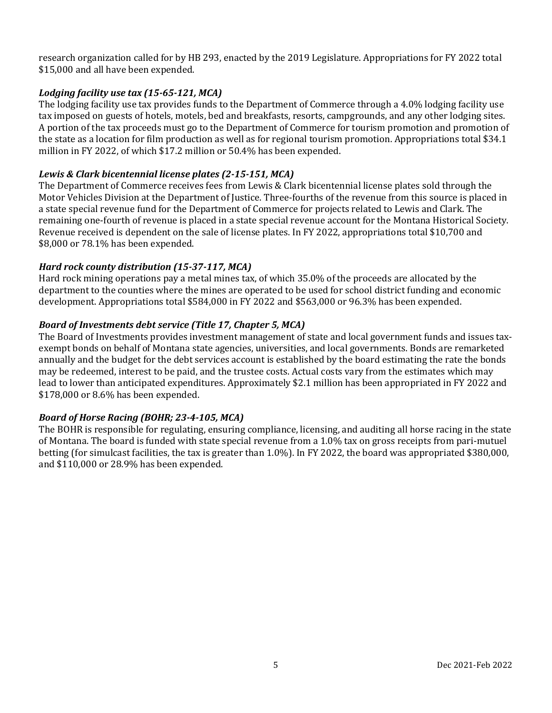research organization called for by HB 293, enacted by the 2019 Legislature. Appropriations for FY 2022 total \$15,000 and all have been expended.

#### *Lodging facility use tax (15-65-121, MCA)*

The lodging facility use tax provides funds to the Department of Commerce through a 4.0% lodging facility use tax imposed on guests of hotels, motels, bed and breakfasts, resorts, campgrounds, and any other lodging sites. A portion of the tax proceeds must go to the Department of Commerce for tourism promotion and promotion of the state as a location for film production as well as for regional tourism promotion. Appropriations total \$34.1 million in FY 2022, of which \$17.2 million or 50.4% has been expended.

#### *Lewis & Clark bicentennial license plates (2-15-151, MCA)*

The Department of Commerce receives fees from Lewis & Clark bicentennial license plates sold through the Motor Vehicles Division at the Department of Justice. Three-fourths of the revenue from this source is placed in a state special revenue fund for the Department of Commerce for projects related to Lewis and Clark. The remaining one-fourth of revenue is placed in a state special revenue account for the Montana Historical Society. Revenue received is dependent on the sale of license plates. In FY 2022, appropriations total \$10,700 and \$8,000 or 78.1% has been expended.

#### *Hard rock county distribution (15-37-117, MCA)*

Hard rock mining operations pay a metal mines tax, of which 35.0% of the proceeds are allocated by the department to the counties where the mines are operated to be used for school district funding and economic development. Appropriations total \$584,000 in FY 2022 and \$563,000 or 96.3% has been expended.

#### *Board of Investments debt service (Title 17, Chapter 5, MCA)*

The Board of Investments provides investment management of state and local government funds and issues taxexempt bonds on behalf of Montana state agencies, universities, and local governments. Bonds are remarketed annually and the budget for the debt services account is established by the board estimating the rate the bonds may be redeemed, interest to be paid, and the trustee costs. Actual costs vary from the estimates which may lead to lower than anticipated expenditures. Approximately \$2.1 million has been appropriated in FY 2022 and \$178,000 or 8.6% has been expended.

#### *Board of Horse Racing (BOHR; 23-4-105, MCA)*

The BOHR is responsible for regulating, ensuring compliance, licensing, and auditing all horse racing in the state of Montana. The board is funded with state special revenue from a 1.0% tax on gross receipts from pari-mutuel betting (for simulcast facilities, the tax is greater than 1.0%). In FY 2022, the board was appropriated \$380,000, and \$110,000 or 28.9% has been expended.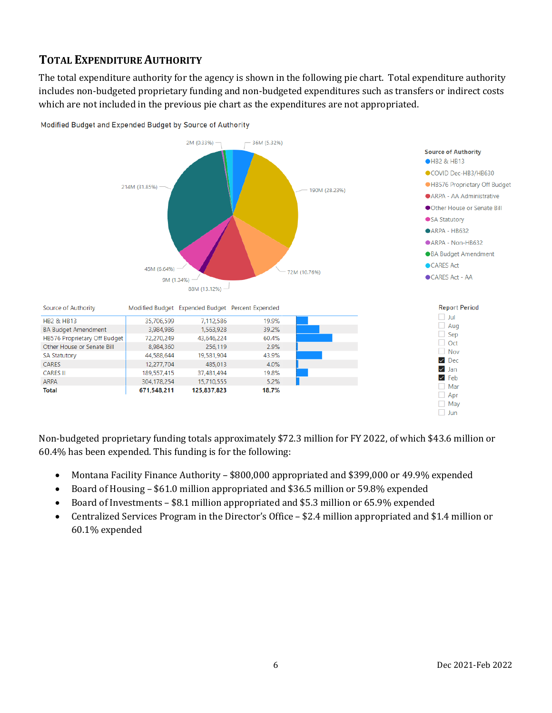## **TOTAL EXPENDITURE AUTHORITY**

The total expenditure authority for the agency is shown in the following pie chart. Total expenditure authority includes non-budgeted proprietary funding and non-budgeted expenditures such as transfers or indirect costs which are not included in the previous pie chart as the expenditures are not appropriated.



Modified Budget and Expended Budget by Source of Authority

Non-budgeted proprietary funding totals approximately \$72.3 million for FY 2022, of which \$43.6 million or 60.4% has been expended. This funding is for the following:

- Montana Facility Finance Authority \$800,000 appropriated and \$399,000 or 49.9% expended
- Board of Housing \$61.0 million appropriated and \$36.5 million or 59.8% expended
- Board of Investments \$8.1 million appropriated and \$5.3 million or 65.9% expended
- Centralized Services Program in the Director's Office \$2.4 million appropriated and \$1.4 million or 60.1% expended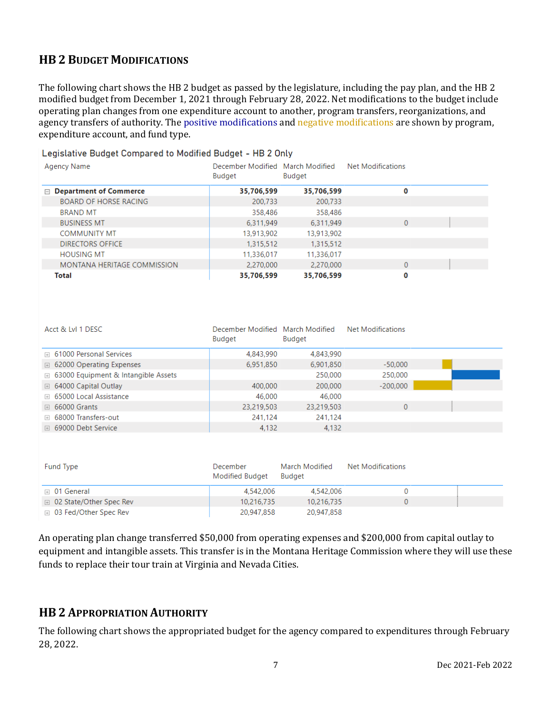## **HB 2 BUDGET MODIFICATIONS**

The following chart shows the HB 2 budget as passed by the legislature, including the pay plan, and the HB 2 modified budget from December 1, 2021 through February 28, 2022. Net modifications to the budget include operating plan changes from one expenditure account to another, program transfers, reorganizations, and agency transfers of authority. The positive modifications and negative modifications are shown by program, expenditure account, and fund type.

| Legislative Duuget Compared to Mounied Duuget – HD Z Onty |                                            |            |                          |  |  |  |  |
|-----------------------------------------------------------|--------------------------------------------|------------|--------------------------|--|--|--|--|
| Agency Name                                               | December Modified March Modified<br>Budget | Budget     | <b>Net Modifications</b> |  |  |  |  |
| $\Box$ Department of Commerce                             | 35,706,599                                 | 35,706,599 | 0                        |  |  |  |  |
| <b>BOARD OF HORSE RACING</b>                              | 200,733                                    | 200,733    |                          |  |  |  |  |
| <b>BRAND MT</b>                                           | 358,486                                    | 358,486    |                          |  |  |  |  |
| <b>BUSINESS MT</b>                                        | 6.311.949                                  | 6.311.949  | $\Omega$                 |  |  |  |  |
| <b>COMMUNITY MT</b>                                       | 13,913,902                                 | 13,913,902 |                          |  |  |  |  |
| <b>DIRECTORS OFFICE</b>                                   | 1,315,512                                  | 1,315,512  |                          |  |  |  |  |
| <b>HOUSING MT</b>                                         | 11,336,017                                 | 11,336,017 |                          |  |  |  |  |
| MONTANA HERITAGE COMMISSION                               | 2,270,000                                  | 2,270,000  | $\Omega$                 |  |  |  |  |
| Total                                                     | 35,706,599                                 | 35,706,599 | 0                        |  |  |  |  |

Legislative Budget Compared to Modified Budget - HB 2 Only

| Acct & LvI 1 DESC                            | December Modified March Modified<br>Budget | Budget     | <b>Net Modifications</b> |  |
|----------------------------------------------|--------------------------------------------|------------|--------------------------|--|
| □ 61000 Personal Services                    | 4,843,990                                  | 4,843,990  |                          |  |
| <b>E</b> 62000 Operating Expenses            | 6,951,850                                  | 6,901,850  | $-50,000$                |  |
| <b>E</b> 63000 Equipment & Intangible Assets |                                            | 250,000    | 250,000                  |  |
| $\boxplus$ 64000 Capital Outlay              | 400,000                                    | 200,000    | $-200,000$               |  |
| □ 65000 Local Assistance                     | 46,000                                     | 46,000     |                          |  |
| $\boxplus$ 66000 Grants                      | 23,219,503                                 | 23,219,503 | 0                        |  |
| □ 68000 Transfers-out                        | 241.124                                    | 241.124    |                          |  |
| □ 69000 Debt Service                         | 4.132                                      | 4.132      |                          |  |

| Fund Type                        | December<br>Modified Budget | March Modified<br><b>Budget</b> | Net Modifications |  |
|----------------------------------|-----------------------------|---------------------------------|-------------------|--|
| $\boxplus$ 01 General            | 4,542,006                   | 4,542,006                       |                   |  |
| <b>□ 02 State/Other Spec Rev</b> | 10,216,735                  | 10,216,735                      |                   |  |
| ⊞ 03 Fed/Other Spec Rev          | 20,947,858                  | 20,947,858                      |                   |  |

An operating plan change transferred \$50,000 from operating expenses and \$200,000 from capital outlay to equipment and intangible assets. This transfer is in the Montana Heritage Commission where they will use these funds to replace their tour train at Virginia and Nevada Cities.

## **HB 2 APPROPRIATION AUTHORITY**

The following chart shows the appropriated budget for the agency compared to expenditures through February 28, 2022.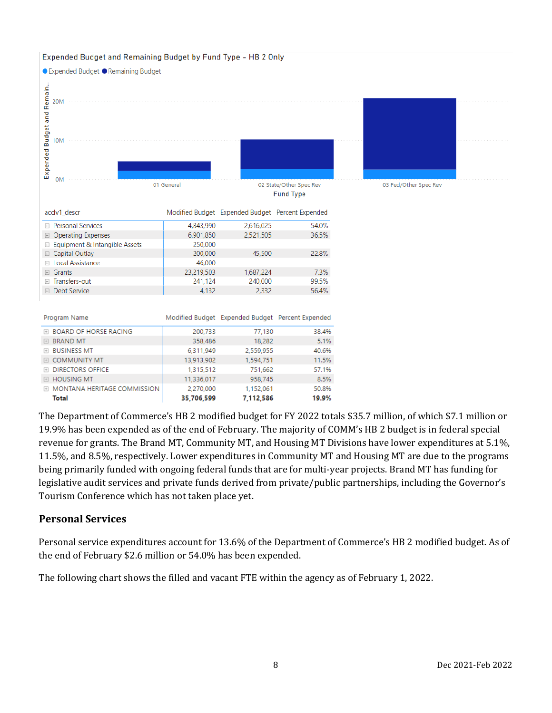

The Department of Commerce's HB 2 modified budget for FY 2022 totals \$35.7 million, of which \$7.1 million or 19.9% has been expended as of the end of February. The majority of COMM's HB 2 budget is in federal special revenue for grants. The Brand MT, Community MT, and Housing MT Divisions have lower expenditures at 5.1%, 11.5%, and 8.5%, respectively. Lower expenditures in Community MT and Housing MT are due to the programs being primarily funded with ongoing federal funds that are for multi-year projects. Brand MT has funding for legislative audit services and private funds derived from private/public partnerships, including the Governor's Tourism Conference which has not taken place yet.

#### **Personal Services**

Personal service expenditures account for 13.6% of the Department of Commerce's HB 2 modified budget. As of the end of February \$2.6 million or 54.0% has been expended.

The following chart shows the filled and vacant FTE within the agency as of February 1, 2022.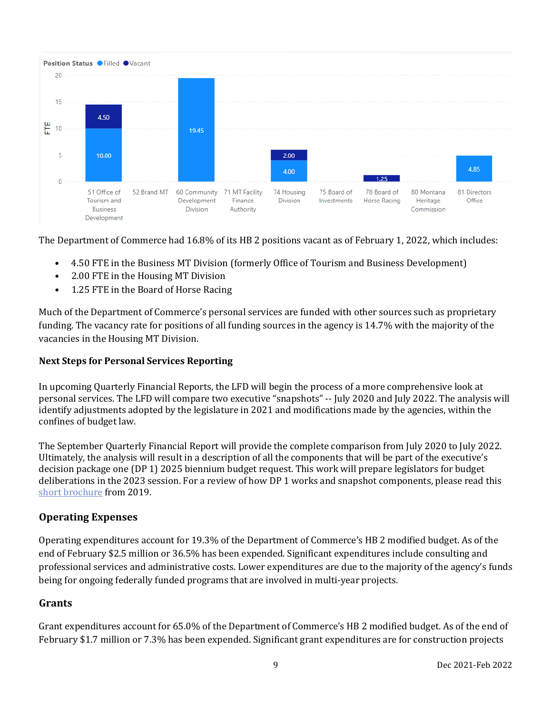

The Department of Commerce had 16.8% of its HB 2 positions vacant as of February 1, 2022, which includes:

- 4.50 FTE in the Business MT Division (formerly Office of Tourism and Business Development)
- 2.00 FTE in the Housing MT Division
- 1.25 FTE in the Board of Horse Racing

Much of the Department of Commerce's personal services are funded with other sources such as proprietary funding. The vacancy rate for positions of all funding sources in the agency is 14.7% with the majority of the vacancies in the Housing MT Division.

#### **Next Steps for Personal Services Reporting**

In upcoming Quarterly Financial Reports, the LFD will begin the process of a more comprehensive look at personal services. The LFD will compare two executive "snapshots" -- July 2020 and July 2022. The analysis will identify adjustments adopted by the legislature in 2021 and modifications made by the agencies, within the confines of budget law.

The September Quarterly Financial Report will provide the complete comparison from July 2020 to July 2022. Ultimately, the analysis will result in a description of all the components that will be part of the executive's decision package one (DP 1) 2025 biennium budget request. This work will prepare legislators for budget deliberations in the 2023 session. For a review of how DP 1 works and snapshot components, please read this [short brochure](https://montana.maps.arcgis.com/apps/Cascade/index.html?appid=23095fcf15754f4fb38b63c58a884b97) from 2019.

#### **Operating Expenses**

Operating expenditures account for 19.3% of the Department of Commerce's HB 2 modified budget. As of the end of February \$2.5 million or 36.5% has been expended. Significant expenditures include consulting and professional services and administrative costs. Lower expenditures are due to the majority of the agency's funds being for ongoing federally funded programs that are involved in multi-year projects.

#### **Grants**

Grant expenditures account for 65.0% of the Department of Commerce's HB 2 modified budget. As of the end of February \$1.7 million or 7.3% has been expended. Significant grant expenditures are for construction projects